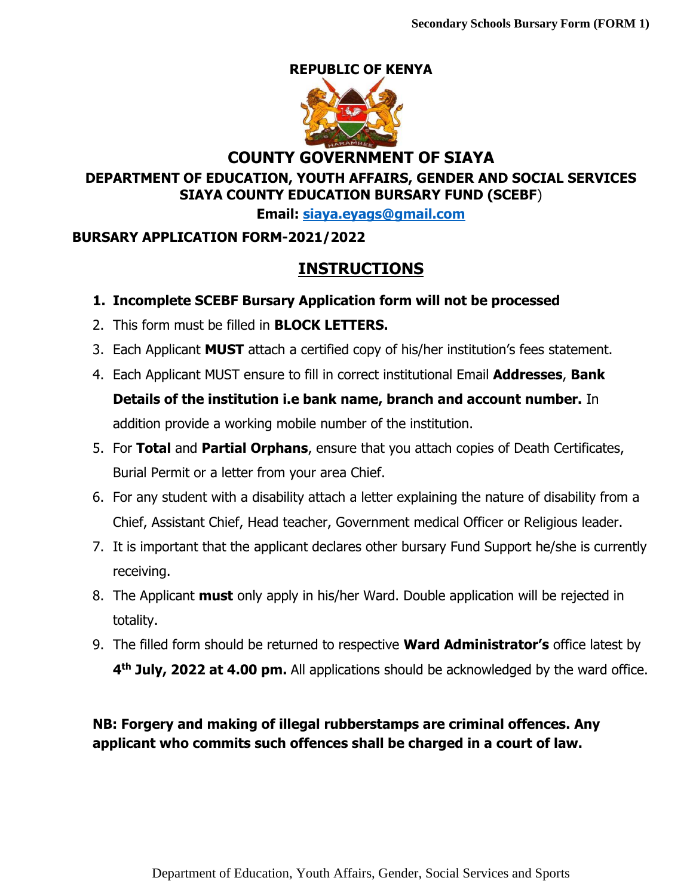### **REPUBLIC OF KENYA**



# **COUNTY GOVERNMENT OF SIAYA**

### **DEPARTMENT OF EDUCATION, YOUTH AFFAIRS, GENDER AND SOCIAL SERVICES SIAYA COUNTY EDUCATION BURSARY FUND (SCEBF**)

**Email: [siaya.eyags@gmail.com](mailto:siaya.eyags@gmail.com)**

### **BURSARY APPLICATION FORM-2021/2022**

# **INSTRUCTIONS**

### **1. Incomplete SCEBF Bursary Application form will not be processed**

- 2. This form must be filled in **BLOCK LETTERS.**
- 3. Each Applicant **MUST** attach a certified copy of his/her institution's fees statement.
- 4. Each Applicant MUST ensure to fill in correct institutional Email **Addresses**, **Bank Details of the institution i.e bank name, branch and account number.** In addition provide a working mobile number of the institution.
- 5. For **Total** and **Partial Orphans**, ensure that you attach copies of Death Certificates, Burial Permit or a letter from your area Chief.
- 6. For any student with a disability attach a letter explaining the nature of disability from a Chief, Assistant Chief, Head teacher, Government medical Officer or Religious leader.
- 7. It is important that the applicant declares other bursary Fund Support he/she is currently receiving.
- 8. The Applicant **must** only apply in his/her Ward. Double application will be rejected in totality.
- 9. The filled form should be returned to respective **Ward Administrator's** office latest by **4 th July, 2022 at 4.00 pm.** All applications should be acknowledged by the ward office.

## **NB: Forgery and making of illegal rubberstamps are criminal offences. Any applicant who commits such offences shall be charged in a court of law.**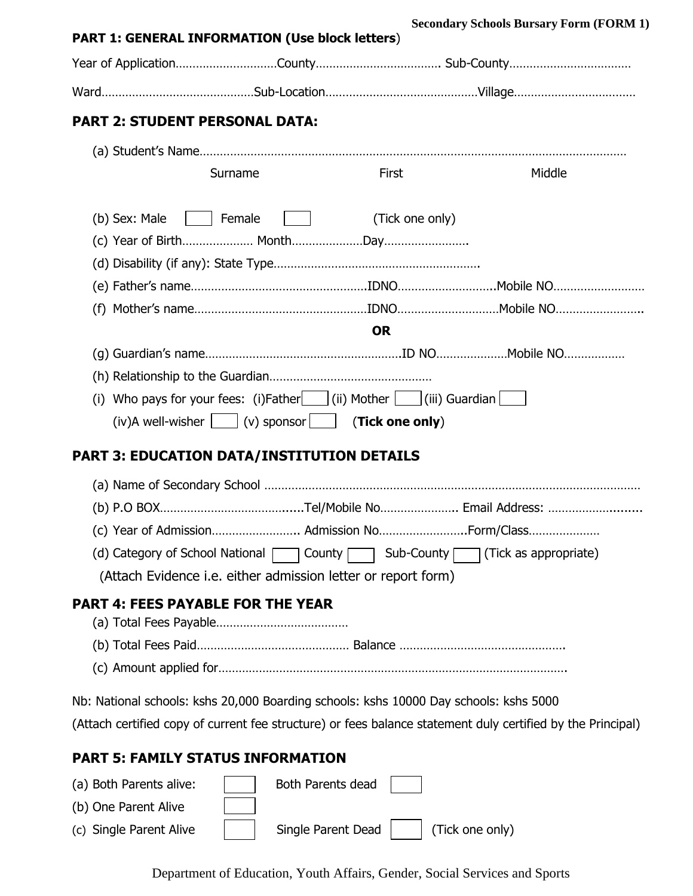| <b>PART 1: GENERAL INFORMATION (Use block letters)</b>                                                      |                                      |                 |                 | <b>Secondary Schools Bursary Form (FORM 1)</b> |
|-------------------------------------------------------------------------------------------------------------|--------------------------------------|-----------------|-----------------|------------------------------------------------|
|                                                                                                             | Year of ApplicationCounty Sub-County |                 |                 |                                                |
|                                                                                                             |                                      |                 |                 |                                                |
| <b>PART 2: STUDENT PERSONAL DATA:</b>                                                                       |                                      |                 |                 |                                                |
|                                                                                                             |                                      |                 |                 |                                                |
|                                                                                                             | Surname                              | First           |                 | Middle                                         |
| (b) Sex: Male<br><b>The Common</b>                                                                          | Female                               | (Tick one only) |                 |                                                |
|                                                                                                             |                                      |                 |                 |                                                |
|                                                                                                             |                                      |                 |                 |                                                |
|                                                                                                             |                                      |                 |                 |                                                |
|                                                                                                             |                                      |                 |                 |                                                |
|                                                                                                             |                                      | <b>OR</b>       |                 |                                                |
|                                                                                                             |                                      |                 |                 |                                                |
|                                                                                                             |                                      |                 |                 |                                                |
| (i) Who pays for your fees: (i)Father $\Box$ (ii) Mother $\Box$ (iii) Guardian                              |                                      |                 |                 |                                                |
| (iv)A well-wisher $\boxed{\qquad}$ (v) sponsor $\boxed{\qquad}$ (Tick one only)                             |                                      |                 |                 |                                                |
| <b>PART 3: EDUCATION DATA/INSTITUTION DETAILS</b>                                                           |                                      |                 |                 |                                                |
|                                                                                                             |                                      |                 |                 |                                                |
|                                                                                                             |                                      |                 |                 |                                                |
| (c) Year of Admission Admission NoForm/Class                                                                |                                      |                 |                 |                                                |
| (d) Category of School National $\Box$ County $\Box$                                                        |                                      |                 |                 | Sub-County   (Tick as appropriate)             |
| (Attach Evidence i.e. either admission letter or report form)                                               |                                      |                 |                 |                                                |
| <b>PART 4: FEES PAYABLE FOR THE YEAR</b>                                                                    |                                      |                 |                 |                                                |
|                                                                                                             |                                      |                 |                 |                                                |
|                                                                                                             |                                      |                 |                 |                                                |
|                                                                                                             |                                      |                 |                 |                                                |
| Nb: National schools: kshs 20,000 Boarding schools: kshs 10000 Day schools: kshs 5000                       |                                      |                 |                 |                                                |
| (Attach certified copy of current fee structure) or fees balance statement duly certified by the Principal) |                                      |                 |                 |                                                |
| <b>PART 5: FAMILY STATUS INFORMATION</b>                                                                    |                                      |                 |                 |                                                |
| (a) Both Parents alive:                                                                                     | Both Parents dead                    |                 |                 |                                                |
| (b) One Parent Alive                                                                                        |                                      |                 |                 |                                                |
| (c) Single Parent Alive                                                                                     | Single Parent Dead                   |                 | (Tick one only) |                                                |

Department of Education, Youth Affairs, Gender, Social Services and Sports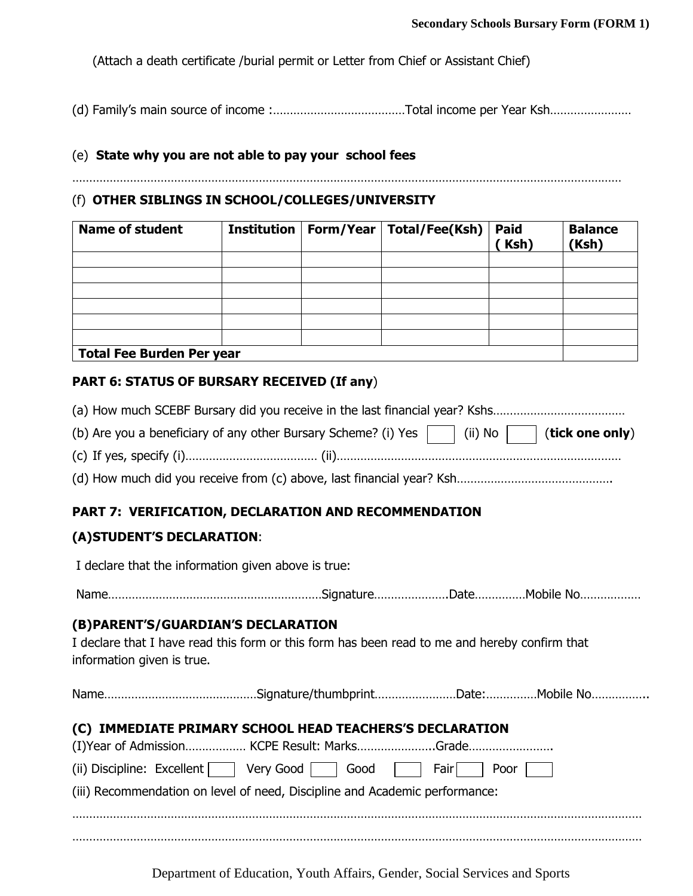(Attach a death certificate /burial permit or Letter from Chief or Assistant Chief)

(d) Family's main source of income :…………………………………Total income per Year Ksh……………………

#### (e) **State why you are not able to pay your school fees**

………………………………………………………………………………………………………………………………………………

#### (f) **OTHER SIBLINGS IN SCHOOL/COLLEGES/UNIVERSITY**

| <b>Name of student</b>           | <b>Institution</b> |  | Form/Year   Total/Fee(Ksh) | <b>Paid</b><br>Ksh) | <b>Balance</b><br>(Ksh) |
|----------------------------------|--------------------|--|----------------------------|---------------------|-------------------------|
|                                  |                    |  |                            |                     |                         |
|                                  |                    |  |                            |                     |                         |
|                                  |                    |  |                            |                     |                         |
|                                  |                    |  |                            |                     |                         |
|                                  |                    |  |                            |                     |                         |
|                                  |                    |  |                            |                     |                         |
| <b>Total Fee Burden Per year</b> |                    |  |                            |                     |                         |

#### **PART 6: STATUS OF BURSARY RECEIVED (If any**)

|                                                                   | (b) Are you a beneficiary of any other Bursary Scheme? (i) Yes $\vert$ $\vert$ (ii) No $\vert$                                                                                                                                                     |      | (tick one only) |
|-------------------------------------------------------------------|----------------------------------------------------------------------------------------------------------------------------------------------------------------------------------------------------------------------------------------------------|------|-----------------|
|                                                                   |                                                                                                                                                                                                                                                    |      |                 |
|                                                                   |                                                                                                                                                                                                                                                    |      |                 |
|                                                                   | PART 7: VERIFICATION, DECLARATION AND RECOMMENDATION                                                                                                                                                                                               |      |                 |
| (A) STUDENT'S DECLARATION:                                        |                                                                                                                                                                                                                                                    |      |                 |
|                                                                   | I declare that the information given above is true:                                                                                                                                                                                                |      |                 |
|                                                                   |                                                                                                                                                                                                                                                    |      |                 |
| (B) PARENT'S/GUARDIAN'S DECLARATION<br>information given is true. | I declare that I have read this form or this form has been read to me and hereby confirm that                                                                                                                                                      |      |                 |
|                                                                   |                                                                                                                                                                                                                                                    |      |                 |
|                                                                   | (C) IMMEDIATE PRIMARY SCHOOL HEAD TEACHERS'S DECLARATION<br>(I)Year of Admission KCPE Result: MarksGrade<br>(ii) Discipline: Excellent $\Box$ Very Good $\Box$ Good<br>(iii) Recommendation on level of need, Discipline and Academic performance: | Fair | Poor            |
|                                                                   |                                                                                                                                                                                                                                                    |      |                 |

Department of Education, Youth Affairs, Gender, Social Services and Sports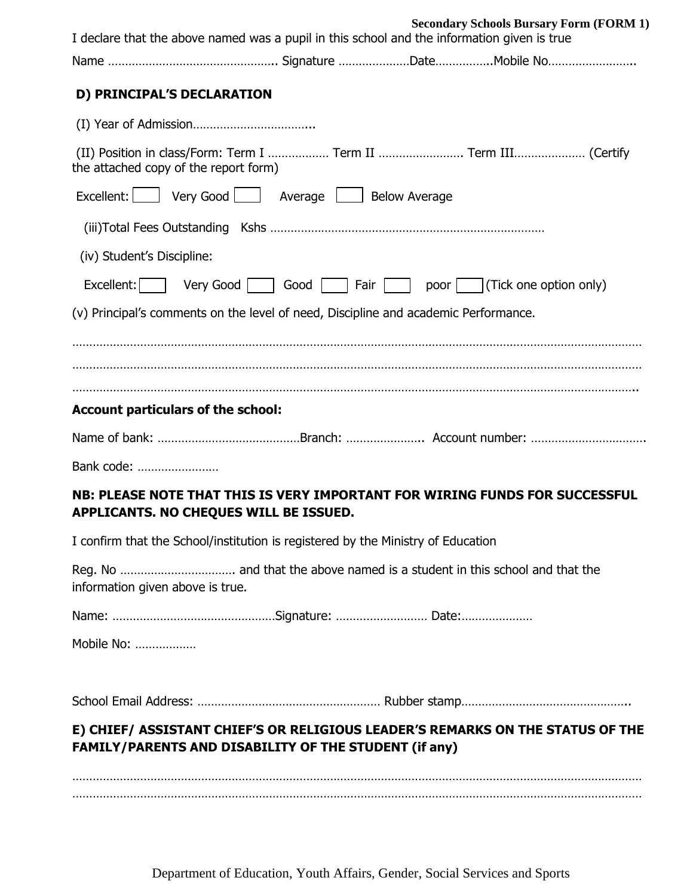| <b>Secondary Schools Bursary Form (FORM 1)</b><br>I declare that the above named was a pupil in this school and the information given is true  |
|------------------------------------------------------------------------------------------------------------------------------------------------|
|                                                                                                                                                |
|                                                                                                                                                |
| D) PRINCIPAL'S DECLARATION                                                                                                                     |
|                                                                                                                                                |
| (II) Position in class/Form: Term I  Term II  Term III (Certify<br>the attached copy of the report form)                                       |
| Excellent:     Very Good     Average     Below Average                                                                                         |
|                                                                                                                                                |
| (iv) Student's Discipline:                                                                                                                     |
| Excellent: Very Good Good Figure Fair Plancorrow poor $\Box$ (Tick one option only)                                                            |
| (v) Principal's comments on the level of need, Discipline and academic Performance.                                                            |
|                                                                                                                                                |
|                                                                                                                                                |
|                                                                                                                                                |
| <b>Account particulars of the school:</b>                                                                                                      |
|                                                                                                                                                |
| Bank code:                                                                                                                                     |
| NB: PLEASE NOTE THAT THIS IS VERY IMPORTANT FOR WIRING FUNDS FOR SUCCESSFUL<br>APPLICANTS. NO CHEQUES WILL BE ISSUED.                          |
| I confirm that the School/institution is registered by the Ministry of Education                                                               |
| information given above is true.                                                                                                               |
|                                                                                                                                                |
| Mobile No:                                                                                                                                     |
|                                                                                                                                                |
|                                                                                                                                                |
| E) CHIEF/ ASSISTANT CHIEF'S OR RELIGIOUS LEADER'S REMARKS ON THE STATUS OF THE<br><b>FAMILY/PARENTS AND DISABILITY OF THE STUDENT (if any)</b> |
|                                                                                                                                                |
|                                                                                                                                                |